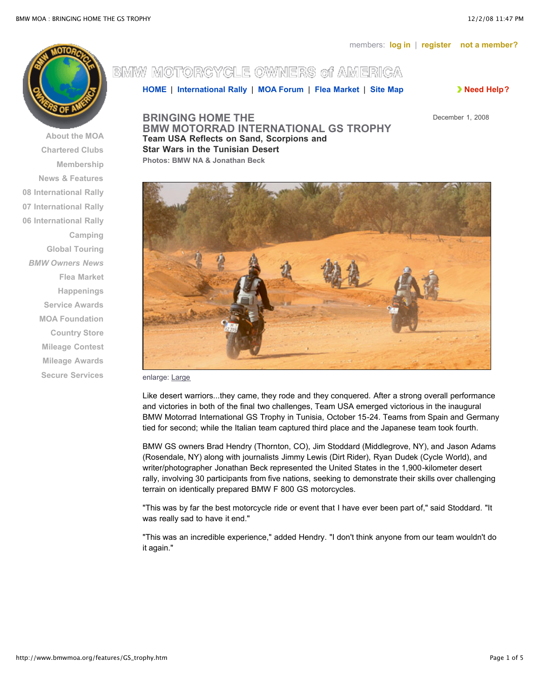

**About [the MOA](http://www.bmwmoa.org/about/about.htm) [Chartered](http://www.bmwmoa.org/about/clubs/clubs.htm) Clubs [Membership](http://www.bmwmoa.org/membership/membership.htm) News & [Features](http://www.bmwmoa.org/features/features.htm) 08 [International](http://www.bmwmoa.org/rally/rally08/) Rally 07 [International](http://www.bmwmoa.org/rally/rally07/) Rally 06 [International](http://www.bmwmoa.org/rally/rally06/) Rally [Camping](http://www.bmwmoa.org/camping/camping.htm) Global [Touring](http://www.bmwmoa.org/global/global.htm)** *BMW [Owners](http://www.bmwmoa.org/ownersnews/ownersnews.htm) News* **Flea [Market](http://www.bmwmoa.org/flea/) [Happenings](http://www.bmwmoa.org/happenings/happenings.htm) Service [Awards](http://www.bmwmoa.org/service/service.htm) [MOA Foundation](http://www.bmwmoafoundation.org/) [Country Store](https://stl.bmwmoa.org/source/Orders/index.cfm?section=unknown&activesection=Orders) Mileage [Contest](http://www.bmwmoa.org/mileage/mileage.htm) [Mileage](http://www.bmwmoa.org/mileage/MileageAward.htm) Awards Secure [Services](https://stl.bmwmoa.org/scriptcontent/index.cfm?activesection=home)**

## BMW MOTORCYCLE OWNERS of AMERICA

**[HOME](http://www.bmwmoa.org/index.html)** | **[International](http://www.bmwmoa.org/rally/rally08/) Rally** | **[MOA Forum](http://www.bmwmoa.org/forum/)** | **Flea [Market](http://www.bmwmoa.org/flea/)** | **Site [Map](http://www.bmwmoa.org/help/sitemap.htm) Need [Help?](http://www.bmwmoa.org/help/help.htm)**

December 1, 2008

**BRINGING HOME THE BMW MOTORRAD INTERNATIONAL GS TROPHY Team USA Reflects on Sand, Scorpions and Star Wars in the Tunisian Desert Photos: BMW NA & Jonathan Beck**



enlarge: [Large](http://www.bmwmoa.org/features/GS_trophy/GS-trophy-pic-7_lg.jpg)

Like desert warriors...they came, they rode and they conquered. After a strong overall performance and victories in both of the final two challenges, Team USA emerged victorious in the inaugural BMW Motorrad International GS Trophy in Tunisia, October 15-24. Teams from Spain and Germany tied for second; while the Italian team captured third place and the Japanese team took fourth.

BMW GS owners Brad Hendry (Thornton, CO), Jim Stoddard (Middlegrove, NY), and Jason Adams (Rosendale, NY) along with journalists Jimmy Lewis (Dirt Rider), Ryan Dudek (Cycle World), and writer/photographer Jonathan Beck represented the United States in the 1,900-kilometer desert rally, involving 30 participants from five nations, seeking to demonstrate their skills over challenging terrain on identically prepared BMW F 800 GS motorcycles.

"This was by far the best motorcycle ride or event that I have ever been part of," said Stoddard. "It was really sad to have it end."

"This was an incredible experience," added Hendry. "I don't think anyone from our team wouldn't do it again."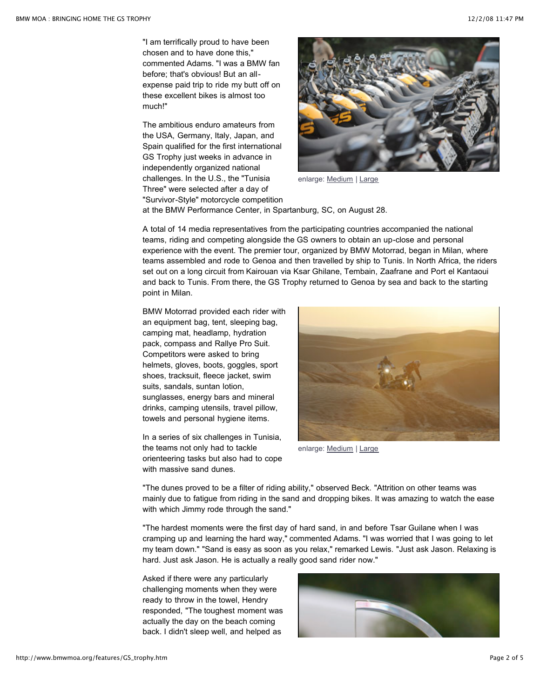"I am terrifically proud to have been chosen and to have done this," commented Adams. "I was a BMW fan before; that's obvious! But an allexpense paid trip to ride my butt off on these excellent bikes is almost too much!"

The ambitious enduro amateurs from the USA, Germany, Italy, Japan, and Spain qualified for the first international GS Trophy just weeks in advance in independently organized national challenges. In the U.S., the "Tunisia Three" were selected after a day of "Survivor-Style" motorcycle competition



enlarge: [Medium](http://www.bmwmoa.org/features/GS_trophy/GS-trophy-pic-3_md.jpg) | [Large](http://www.bmwmoa.org/features/GS_trophy/GS-trophy-pic-3_lg.jpg)

at the BMW Performance Center, in Spartanburg, SC, on August 28.

A total of 14 media representatives from the participating countries accompanied the national teams, riding and competing alongside the GS owners to obtain an up-close and personal experience with the event. The premier tour, organized by BMW Motorrad, began in Milan, where teams assembled and rode to Genoa and then travelled by ship to Tunis. In North Africa, the riders set out on a long circuit from Kairouan via Ksar Ghilane, Tembain, Zaafrane and Port el Kantaoui and back to Tunis. From there, the GS Trophy returned to Genoa by sea and back to the starting point in Milan.

BMW Motorrad provided each rider with an equipment bag, tent, sleeping bag, camping mat, headlamp, hydration pack, compass and Rallye Pro Suit. Competitors were asked to bring helmets, gloves, boots, goggles, sport shoes, tracksuit, fleece jacket, swim suits, sandals, suntan lotion, sunglasses, energy bars and mineral drinks, camping utensils, travel pillow, towels and personal hygiene items.

In a series of six challenges in Tunisia, the teams not only had to tackle orienteering tasks but also had to cope with massive sand dunes.



enlarge: [Medium](http://www.bmwmoa.org/features/GS_trophy/GS-trophy-pic-1_md.jpg) | [Large](http://www.bmwmoa.org/features/GS_trophy/GS-trophy-pic-1_lg.jpg)

"The dunes proved to be a filter of riding ability," observed Beck. "Attrition on other teams was mainly due to fatigue from riding in the sand and dropping bikes. It was amazing to watch the ease with which Jimmy rode through the sand."

"The hardest moments were the first day of hard sand, in and before Tsar Guilane when I was cramping up and learning the hard way," commented Adams. "I was worried that I was going to let my team down." "Sand is easy as soon as you relax," remarked Lewis. "Just ask Jason. Relaxing is hard. Just ask Jason. He is actually a really good sand rider now."

Asked if there were any particularly challenging moments when they were ready to throw in the towel, Hendry responded, "The toughest moment was actually the day on the beach coming back. I didn't sleep well, and helped as

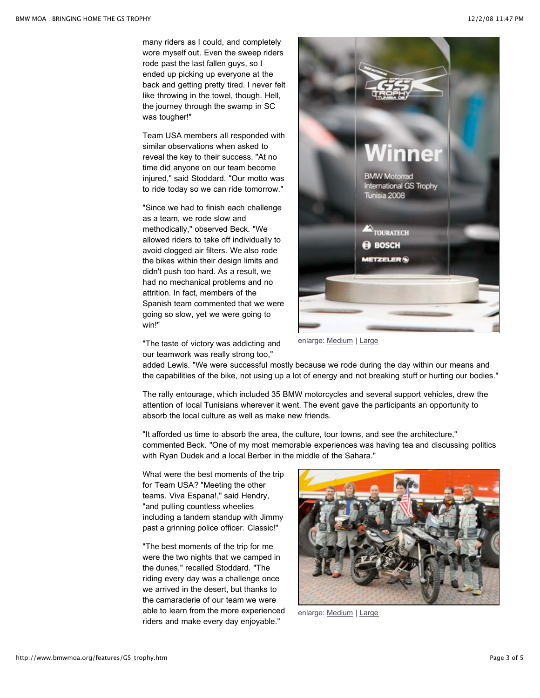many riders as I could, and completely wore myself out. Even the sweep riders rode past the last fallen guys, so I ended up picking up everyone at the back and getting pretty tired. I never felt like throwing in the towel, though. Hell, the journey through the swamp in SC was tougher!"

Team USA members all responded with similar observations when asked to reveal the key to their success. "At no time did anyone on our team become injured," said Stoddard. "Our motto was to ride today so we can ride tomorrow."

"Since we had to finish each challenge as a team, we rode slow and methodically," observed Beck. "We allowed riders to take off individually to avoid clogged air filters. We also rode the bikes within their design limits and didn't push too hard. As a result, we had no mechanical problems and no attrition. In fact, members of the Spanish team commented that we were going so slow, yet we were going to win!"



"The taste of victory was addicting and our teamwork was really strong too,"

enlarge: [Medium](http://www.bmwmoa.org/features/GS_trophy/GS-trophy-pic-4_md.jpg) | [Large](http://www.bmwmoa.org/features/GS_trophy/GS-trophy-pic-4_lg.jpg)

added Lewis. "We were successful mostly because we rode during the day within our means and the capabilities of the bike, not using up a lot of energy and not breaking stuff or hurting our bodies."

The rally entourage, which included 35 BMW motorcycles and several support vehicles, drew the attention of local Tunisians wherever it went. The event gave the participants an opportunity to absorb the local culture as well as make new friends.

"It afforded us time to absorb the area, the culture, tour towns, and see the architecture," commented Beck. "One of my most memorable experiences was having tea and discussing politics with Ryan Dudek and a local Berber in the middle of the Sahara."

What were the best moments of the trip for Team USA? "Meeting the other teams. Viva Espana!," said Hendry, "and pulling countless wheelies including a tandem standup with Jimmy past a grinning police officer. Classic!"

"The best moments of the trip for me were the two nights that we camped in the dunes," recalled Stoddard. "The riding every day was a challenge once we arrived in the desert, but thanks to the camaraderie of our team we were able to learn from the more experienced riders and make every day enjoyable."



enlarge: [Medium](http://www.bmwmoa.org/features/GS_trophy/GS-trophy-pic-5_md.jpg) | [Large](http://www.bmwmoa.org/features/GS_trophy/GS-trophy-pic-5_lg.jpg)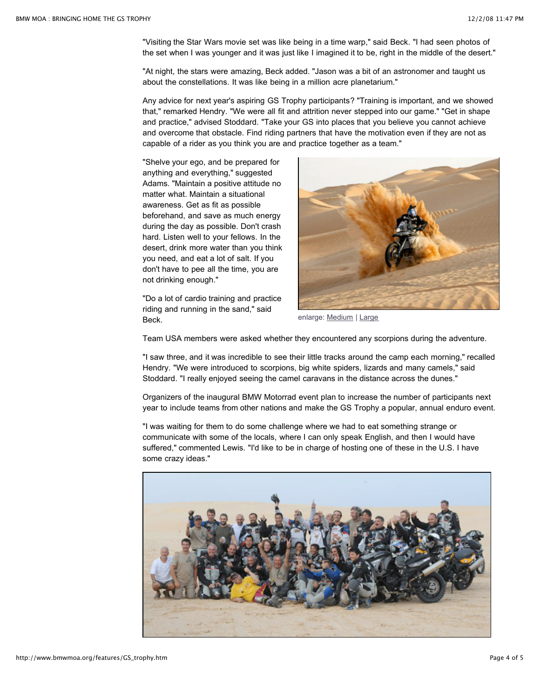"Visiting the Star Wars movie set was like being in a time warp," said Beck. "I had seen photos of the set when I was younger and it was just like I imagined it to be, right in the middle of the desert."

"At night, the stars were amazing, Beck added. "Jason was a bit of an astronomer and taught us about the constellations. It was like being in a million acre planetarium."

Any advice for next year's aspiring GS Trophy participants? "Training is important, and we showed that," remarked Hendry. "We were all fit and attrition never stepped into our game." "Get in shape and practice," advised Stoddard. "Take your GS into places that you believe you cannot achieve and overcome that obstacle. Find riding partners that have the motivation even if they are not as capable of a rider as you think you are and practice together as a team."

"Shelve your ego, and be prepared for anything and everything," suggested Adams. "Maintain a positive attitude no matter what. Maintain a situational awareness. Get as fit as possible beforehand, and save as much energy during the day as possible. Don't crash hard. Listen well to your fellows. In the desert, drink more water than you think you need, and eat a lot of salt. If you don't have to pee all the time, you are not drinking enough."

"Do a lot of cardio training and practice riding and running in the sand," said Beck.



enlarge: [Medium](http://www.bmwmoa.org/features/GS_trophy/GS-trophy-pic-6_md.jpg) | [Large](http://www.bmwmoa.org/features/GS_trophy/GS-trophy-pic-6_lg.jpg)

Team USA members were asked whether they encountered any scorpions during the adventure.

"I saw three, and it was incredible to see their little tracks around the camp each morning," recalled Hendry. "We were introduced to scorpions, big white spiders, lizards and many camels," said Stoddard. "I really enjoyed seeing the camel caravans in the distance across the dunes."

Organizers of the inaugural BMW Motorrad event plan to increase the number of participants next year to include teams from other nations and make the GS Trophy a popular, annual enduro event.

"I was waiting for them to do some challenge where we had to eat something strange or communicate with some of the locals, where I can only speak English, and then I would have suffered," commented Lewis. "I'd like to be in charge of hosting one of these in the U.S. I have some crazy ideas."